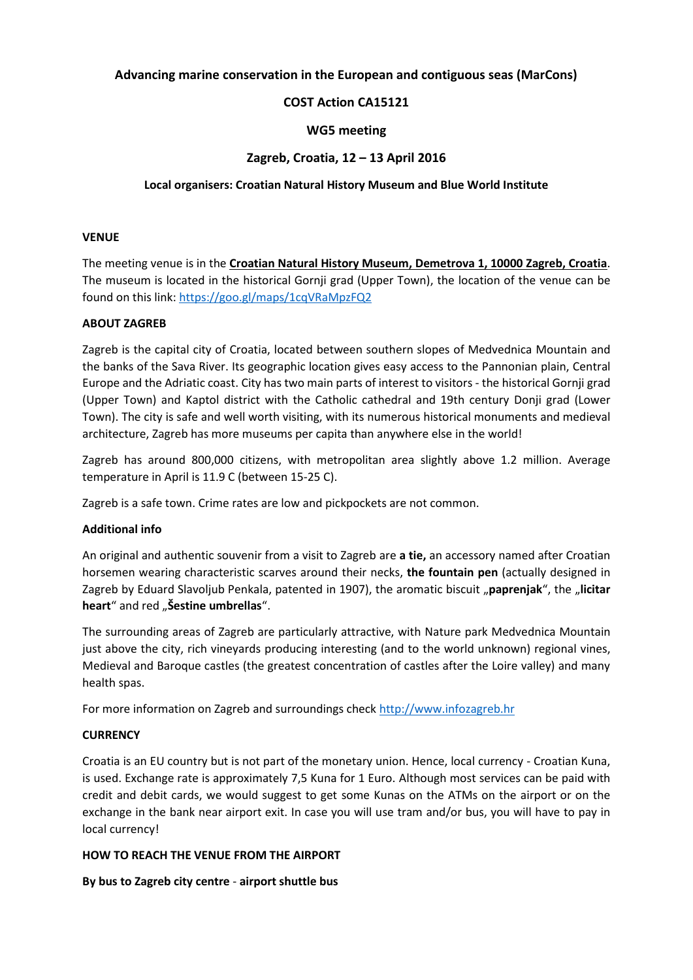## **Advancing marine conservation in the European and contiguous seas (MarCons)**

# **COST Action CA15121**

## **WG5 meeting**

### **Zagreb, Croatia, 12 – 13 April 2016**

### **Local organisers: Croatian Natural History Museum and Blue World Institute**

### **VENUE**

The meeting venue is in the **Croatian Natural History Museum, Demetrova 1, 10000 Zagreb, Croatia**. The museum is located in the historical Gornji grad (Upper Town), the location of the venue can be found on this link: <https://goo.gl/maps/1cqVRaMpzFQ2>

### **ABOUT ZAGREB**

Zagreb is the capital city of Croatia, located between southern slopes of Medvednica Mountain and the banks of the Sava River. Its geographic location gives easy access to the Pannonian plain, Central Europe and the Adriatic coast. City has two main parts of interest to visitors - the historical Gornji grad (Upper Town) and Kaptol district with the Catholic cathedral and 19th century Donji grad (Lower Town). The city is safe and well worth visiting, with its numerous historical monuments and medieval architecture, Zagreb has more museums per capita than anywhere else in the world!

Zagreb has around 800,000 citizens, with metropolitan area slightly above 1.2 million. Average temperature in April is 11.9 C (between 15-25 C).

Zagreb is a safe town. Crime rates are low and pickpockets are not common.

## **Additional info**

An original and authentic souvenir from a visit to Zagreb are **a tie,** an accessory named after Croatian horsemen wearing characteristic scarves around their necks, **the fountain pen** (actually designed in Zagreb by Eduard Slavoljub Penkala, patented in 1907), the aromatic biscuit "**paprenjak**", the "**licitar** heart<sup>"</sup> and red " **Šestine umbrellas**".

The surrounding areas of Zagreb are particularly attractive, with Nature park Medvednica Mountain just above the city, rich vineyards producing interesting (and to the world unknown) regional vines, Medieval and Baroque castles (the greatest concentration of castles after the Loire valley) and many health spas.

For more information on Zagreb and surroundings check [http://www.infozagreb.hr](http://www.infozagreb.hr/)

#### **CURRENCY**

Croatia is an EU country but is not part of the monetary union. Hence, local currency - Croatian Kuna, is used. Exchange rate is approximately 7,5 Kuna for 1 Euro. Although most services can be paid with credit and debit cards, we would suggest to get some Kunas on the ATMs on the airport or on the exchange in the bank near airport exit. In case you will use tram and/or bus, you will have to pay in local currency!

#### **HOW TO REACH THE VENUE FROM THE AIRPORT**

## **By bus to Zagreb city centre** - **airport shuttle bus**